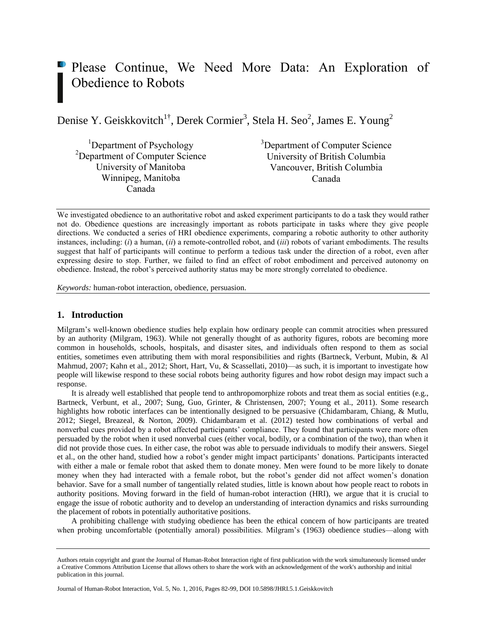# Please Continue, We Need More Data: An Exploration of Obedience to Robots

Denise Y. Geiskkovitch<sup>1†</sup>, Derek Cormier<sup>3</sup>, Stela H. Seo<sup>2</sup>, James E. Young<sup>2</sup>

<sup>1</sup>Department of Psychology <sup>2</sup>Department of Computer Science University of Manitoba Winnipeg, Manitoba Canada

<sup>3</sup>Department of Computer Science University of British Columbia Vancouver, British Columbia Canada

We investigated obedience to an authoritative robot and asked experiment participants to do a task they would rather not do. Obedience questions are increasingly important as robots participate in tasks where they give people directions. We conducted a series of HRI obedience experiments, comparing a robotic authority to other authority instances, including: (*i*) a human, (*ii*) a remote-controlled robot, and (*iii*) robots of variant embodiments. The results suggest that half of participants will continue to perform a tedious task under the direction of a robot, even after expressing desire to stop. Further, we failed to find an effect of robot embodiment and perceived autonomy on obedience. Instead, the robot's perceived authority status may be more strongly correlated to obedience.

*Keywords:* human-robot interaction, obedience, persuasion.

# **1. Introduction**

Milgram's well-known obedience studies help explain how ordinary people can commit atrocities when pressured by an authority (Milgram, 1963). While not generally thought of as authority figures, robots are becoming more common in households, schools, hospitals, and disaster sites, and individuals often respond to them as social entities, sometimes even attributing them with moral responsibilities and rights (Bartneck, Verbunt, Mubin, & Al Mahmud, 2007; Kahn et al., 2012; Short, Hart, Vu, & Scassellati, 2010)—as such, it is important to investigate how people will likewise respond to these social robots being authority figures and how robot design may impact such a response.

It is already well established that people tend to anthropomorphize robots and treat them as social entities (e.g., Bartneck, Verbunt, et al., 2007; Sung, Guo, Grinter, & Christensen, 2007; Young et al., 2011). Some research highlights how robotic interfaces can be intentionally designed to be persuasive (Chidambaram, Chiang, & Mutlu, 2012; Siegel, Breazeal, & Norton, 2009). Chidambaram et al. (2012) tested how combinations of verbal and nonverbal cues provided by a robot affected participants' compliance. They found that participants were more often persuaded by the robot when it used nonverbal cues (either vocal, bodily, or a combination of the two), than when it did not provide those cues. In either case, the robot was able to persuade individuals to modify their answers. Siegel et al., on the other hand, studied how a robot's gender might impact participants' donations. Participants interacted with either a male or female robot that asked them to donate money. Men were found to be more likely to donate money when they had interacted with a female robot, but the robot's gender did not affect women's donation behavior. Save for a small number of tangentially related studies, little is known about how people react to robots in authority positions. Moving forward in the field of human-robot interaction (HRI), we argue that it is crucial to engage the issue of robotic authority and to develop an understanding of interaction dynamics and risks surrounding the placement of robots in potentially authoritative positions.

A prohibiting challenge with studying obedience has been the ethical concern of how participants are treated when probing uncomfortable (potentially amoral) possibilities. Milgram's (1963) obedience studies—along with

Journal of Human-Robot Interaction, Vol. 5, No. 1, 2016, Pages 82-99, DOI 10.5898/JHRI.5.1.Geiskkovitch

Authors retain copyright and grant the Journal of Human-Robot Interaction right of first publication with the work simultaneously licensed under a Creative Commons Attribution License that allows others to share the work with an acknowledgement of the work's authorship and initial publication in this journal.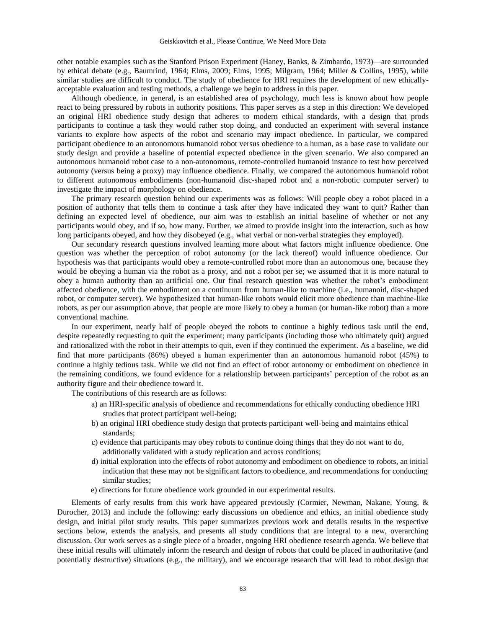other notable examples such as the Stanford Prison Experiment (Haney, Banks, & Zimbardo, 1973)—are surrounded by ethical debate (e.g., Baumrind, 1964; Elms, 2009; Elms, 1995; Milgram, 1964; Miller & Collins, 1995), while similar studies are difficult to conduct. The study of obedience for HRI requires the development of new ethicallyacceptable evaluation and testing methods, a challenge we begin to address in this paper.

Although obedience, in general, is an established area of psychology, much less is known about how people react to being pressured by robots in authority positions. This paper serves as a step in this direction: We developed an original HRI obedience study design that adheres to modern ethical standards, with a design that prods participants to continue a task they would rather stop doing, and conducted an experiment with several instance variants to explore how aspects of the robot and scenario may impact obedience. In particular, we compared participant obedience to an autonomous humanoid robot versus obedience to a human, as a base case to validate our study design and provide a baseline of potential expected obedience in the given scenario. We also compared an autonomous humanoid robot case to a non-autonomous, remote-controlled humanoid instance to test how perceived autonomy (versus being a proxy) may influence obedience. Finally, we compared the autonomous humanoid robot to different autonomous embodiments (non-humanoid disc-shaped robot and a non-robotic computer server) to investigate the impact of morphology on obedience.

The primary research question behind our experiments was as follows: Will people obey a robot placed in a position of authority that tells them to continue a task after they have indicated they want to quit? Rather than defining an expected level of obedience, our aim was to establish an initial baseline of whether or not any participants would obey, and if so, how many. Further, we aimed to provide insight into the interaction, such as how long participants obeyed, and how they disobeyed (e.g., what verbal or non-verbal strategies they employed).

Our secondary research questions involved learning more about what factors might influence obedience. One question was whether the perception of robot autonomy (or the lack thereof) would influence obedience. Our hypothesis was that participants would obey a remote-controlled robot more than an autonomous one, because they would be obeying a human via the robot as a proxy, and not a robot per se; we assumed that it is more natural to obey a human authority than an artificial one. Our final research question was whether the robot's embodiment affected obedience, with the embodiment on a continuum from human-like to machine (i.e., humanoid, disc-shaped robot, or computer server). We hypothesized that human-like robots would elicit more obedience than machine-like robots, as per our assumption above, that people are more likely to obey a human (or human-like robot) than a more conventional machine.

In our experiment, nearly half of people obeyed the robots to continue a highly tedious task until the end, despite repeatedly requesting to quit the experiment; many participants (including those who ultimately quit) argued and rationalized with the robot in their attempts to quit, even if they continued the experiment. As a baseline, we did find that more participants (86%) obeyed a human experimenter than an autonomous humanoid robot (45%) to continue a highly tedious task. While we did not find an effect of robot autonomy or embodiment on obedience in the remaining conditions, we found evidence for a relationship between participants' perception of the robot as an authority figure and their obedience toward it.

The contributions of this research are as follows:

- a) an HRI-specific analysis of obedience and recommendations for ethically conducting obedience HRI studies that protect participant well-being;
- b) an original HRI obedience study design that protects participant well-being and maintains ethical standards;
- c) evidence that participants may obey robots to continue doing things that they do not want to do, additionally validated with a study replication and across conditions;
- d) initial exploration into the effects of robot autonomy and embodiment on obedience to robots, an initial indication that these may not be significant factors to obedience, and recommendations for conducting similar studies;
- e) directions for future obedience work grounded in our experimental results.

Elements of early results from this work have appeared previously (Cormier, Newman, Nakane, Young, & Durocher, 2013) and include the following: early discussions on obedience and ethics, an initial obedience study design, and initial pilot study results. This paper summarizes previous work and details results in the respective sections below, extends the analysis, and presents all study conditions that are integral to a new, overarching discussion. Our work serves as a single piece of a broader, ongoing HRI obedience research agenda. We believe that these initial results will ultimately inform the research and design of robots that could be placed in authoritative (and potentially destructive) situations (e.g., the military), and we encourage research that will lead to robot design that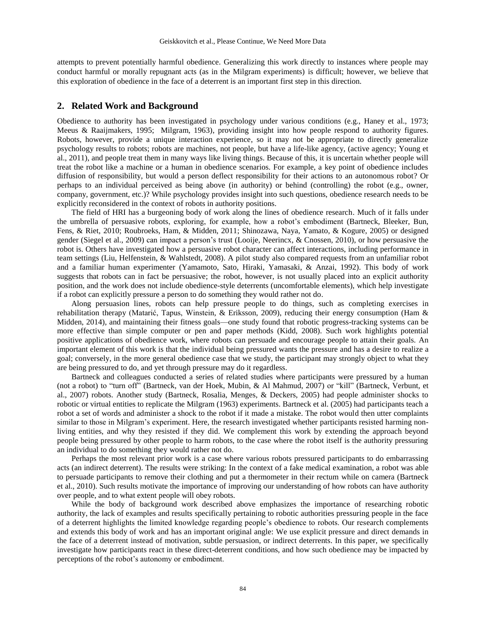attempts to prevent potentially harmful obedience. Generalizing this work directly to instances where people may conduct harmful or morally repugnant acts (as in the Milgram experiments) is difficult; however, we believe that this exploration of obedience in the face of a deterrent is an important first step in this direction.

# **2. Related Work and Background**

Obedience to authority has been investigated in psychology under various conditions (e.g., Haney et al., 1973; Meeus & Raaijmakers, 1995; Milgram, 1963), providing insight into how people respond to authority figures. Robots, however, provide a unique interaction experience, so it may not be appropriate to directly generalize psychology results to robots; robots are machines, not people, but have a life-like agency, (active agency; Young et al., 2011), and people treat them in many ways like living things. Because of this, it is uncertain whether people will treat the robot like a machine or a human in obedience scenarios. For example, a key point of obedience includes diffusion of responsibility, but would a person deflect responsibility for their actions to an autonomous robot? Or perhaps to an individual perceived as being above (in authority) or behind (controlling) the robot (e.g., owner, company, government, etc.)? While psychology provides insight into such questions, obedience research needs to be explicitly reconsidered in the context of robots in authority positions.

The field of HRI has a burgeoning body of work along the lines of obedience research. Much of it falls under the umbrella of persuasive robots, exploring, for example, how a robot's embodiment (Bartneck, Bleeker, Bun, Fens, & Riet, 2010; Roubroeks, Ham, & Midden, 2011; Shinozawa, Naya, Yamato, & Kogure, 2005) or designed gender (Siegel et al., 2009) can impact a person's trust (Looije, Neerincx, & Cnossen, 2010), or how persuasive the robot is. Others have investigated how a persuasive robot character can affect interactions, including performance in team settings (Liu, Helfenstein, & Wahlstedt, 2008). A pilot study also compared requests from an unfamiliar robot and a familiar human experimenter (Yamamoto, Sato, Hiraki, Yamasaki, & Anzai, 1992). This body of work suggests that robots can in fact be persuasive; the robot, however, is not usually placed into an explicit authority position, and the work does not include obedience-style deterrents (uncomfortable elements), which help investigate if a robot can explicitly pressure a person to do something they would rather not do.

Along persuasion lines, robots can help pressure people to do things, such as completing exercises in rehabilitation therapy (Matarić, Tapus, Winstein, & Eriksson, 2009), reducing their energy consumption (Ham & Midden, 2014), and maintaining their fitness goals—one study found that robotic progress-tracking systems can be more effective than simple computer or pen and paper methods (Kidd, 2008). Such work highlights potential positive applications of obedience work, where robots can persuade and encourage people to attain their goals. An important element of this work is that the individual being pressured wants the pressure and has a desire to realize a goal; conversely, in the more general obedience case that we study, the participant may strongly object to what they are being pressured to do, and yet through pressure may do it regardless.

Bartneck and colleagues conducted a series of related studies where participants were pressured by a human (not a robot) to "turn off" (Bartneck, van der Hoek, Mubin, & Al Mahmud, 2007) or "kill" (Bartneck, Verbunt, et al., 2007) robots. Another study (Bartneck, Rosalia, Menges, & Deckers, 2005) had people administer shocks to robotic or virtual entities to replicate the Milgram (1963) experiments. Bartneck et al. (2005) had participants teach a robot a set of words and administer a shock to the robot if it made a mistake. The robot would then utter complaints similar to those in Milgram's experiment. Here, the research investigated whether participants resisted harming nonliving entities, and why they resisted if they did. We complement this work by extending the approach beyond people being pressured by other people to harm robots, to the case where the robot itself is the authority pressuring an individual to do something they would rather not do.

Perhaps the most relevant prior work is a case where various robots pressured participants to do embarrassing acts (an indirect deterrent). The results were striking: In the context of a fake medical examination, a robot was able to persuade participants to remove their clothing and put a thermometer in their rectum while on camera (Bartneck et al., 2010). Such results motivate the importance of improving our understanding of how robots can have authority over people, and to what extent people will obey robots.

While the body of background work described above emphasizes the importance of researching robotic authority, the lack of examples and results specifically pertaining to robotic authorities pressuring people in the face of a deterrent highlights the limited knowledge regarding people's obedience to robots. Our research complements and extends this body of work and has an important original angle: We use explicit pressure and direct demands in the face of a deterrent instead of motivation, subtle persuasion, or indirect deterrents. In this paper, we specifically investigate how participants react in these direct-deterrent conditions, and how such obedience may be impacted by perceptions of the robot's autonomy or embodiment.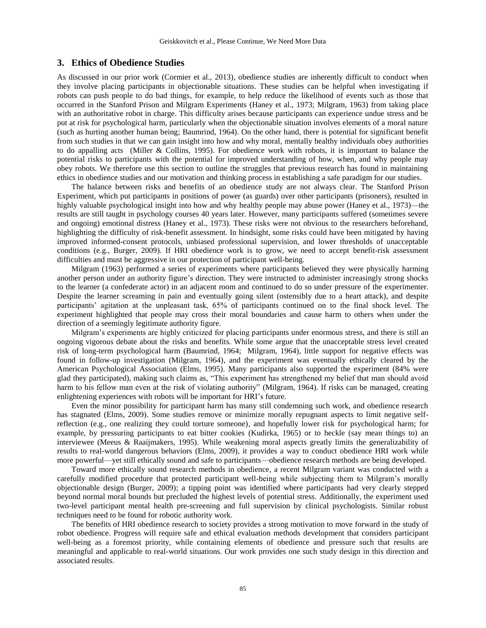## **3. Ethics of Obedience Studies**

As discussed in our prior work (Cormier et al., 2013), obedience studies are inherently difficult to conduct when they involve placing participants in objectionable situations. These studies can be helpful when investigating if robots can push people to do bad things, for example, to help reduce the likelihood of events such as those that occurred in the Stanford Prison and Milgram Experiments (Haney et al., 1973; Milgram, 1963) from taking place with an authoritative robot in charge. This difficulty arises because participants can experience undue stress and be put at risk for psychological harm, particularly when the objectionable situation involves elements of a moral nature (such as hurting another human being; Baumrind, 1964). On the other hand, there is potential for significant benefit from such studies in that we can gain insight into how and why moral, mentally healthy individuals obey authorities to do appalling acts (Miller & Collins, 1995). For obedience work with robots, it is important to balance the potential risks to participants with the potential for improved understanding of how, when, and why people may obey robots. We therefore use this section to outline the struggles that previous research has found in maintaining ethics in obedience studies and our motivation and thinking process in establishing a safe paradigm for our studies.

The balance between risks and benefits of an obedience study are not always clear. The Stanford Prison Experiment, which put participants in positions of power (as guards) over other participants (prisoners), resulted in highly valuable psychological insight into how and why healthy people may abuse power (Haney et al., 1973)—the results are still taught in psychology courses 40 years later. However, many participants suffered (sometimes severe and ongoing) emotional distress (Haney et al., 1973). These risks were not obvious to the researchers beforehand, highlighting the difficulty of risk-benefit assessment. In hindsight, some risks could have been mitigated by having improved informed-consent protocols, unbiased professional supervision, and lower thresholds of unacceptable conditions (e.g., Burger, 2009). If HRI obedience work is to grow, we need to accept benefit-risk assessment difficulties and must be aggressive in our protection of participant well-being.

Milgram (1963) performed a series of experiments where participants believed they were physically harming another person under an authority figure's direction. They were instructed to administer increasingly strong shocks to the learner (a confederate actor) in an adjacent room and continued to do so under pressure of the experimenter. Despite the learner screaming in pain and eventually going silent (ostensibly due to a heart attack), and despite participants' agitation at the unpleasant task, 65% of participants continued on to the final shock level. The experiment highlighted that people may cross their moral boundaries and cause harm to others when under the direction of a seemingly legitimate authority figure.

Milgram's experiments are highly criticized for placing participants under enormous stress, and there is still an ongoing vigorous debate about the risks and benefits. While some argue that the unacceptable stress level created risk of long-term psychological harm (Baumrind, 1964; Milgram, 1964), little support for negative effects was found in follow-up investigation (Milgram, 1964), and the experiment was eventually ethically cleared by the American Psychological Association (Elms, 1995). Many participants also supported the experiment (84% were glad they participated), making such claims as, "This experiment has strengthened my belief that man should avoid harm to his fellow man even at the risk of violating authority" (Milgram, 1964). If risks can be managed, creating enlightening experiences with robots will be important for HRI's future.

Even the minor possibility for participant harm has many still condemning such work, and obedience research has stagnated (Elms, 2009). Some studies remove or minimize morally repugnant aspects to limit negative selfreflection (e.g., one realizing they could torture someone), and hopefully lower risk for psychological harm; for example, by pressuring participants to eat bitter cookies (Kudirka, 1965) or to heckle (say mean things to) an interviewee (Meeus & Raaijmakers, 1995). While weakening moral aspects greatly limits the generalizability of results to real-world dangerous behaviors (Elms, 2009), it provides a way to conduct obedience HRI work while more powerful—yet still ethically sound and safe to participants—obedience research methods are being developed.

Toward more ethically sound research methods in obedience, a recent Milgram variant was conducted with a carefully modified procedure that protected participant well-being while subjecting them to Milgram's morally objectionable design (Burger, 2009); a tipping point was identified where participants had very clearly stepped beyond normal moral bounds but precluded the highest levels of potential stress. Additionally, the experiment used two-level participant mental health pre-screening and full supervision by clinical psychologists. Similar robust techniques need to be found for robotic authority work.

The benefits of HRI obedience research to society provides a strong motivation to move forward in the study of robot obedience. Progress will require safe and ethical evaluation methods development that considers participant well-being as a foremost priority, while containing elements of obedience and pressure such that results are meaningful and applicable to real-world situations. Our work provides one such study design in this direction and associated results.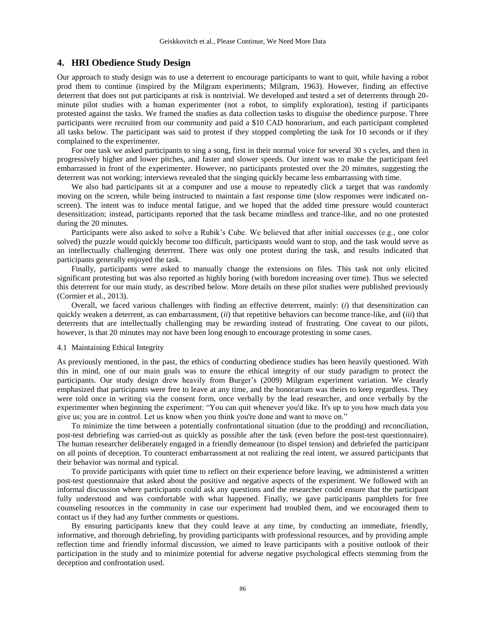# **4. HRI Obedience Study Design**

Our approach to study design was to use a deterrent to encourage participants to want to quit, while having a robot prod them to continue (inspired by the Milgram experiments; Milgram, 1963). However, finding an effective deterrent that does not put participants at risk is nontrivial. We developed and tested a set of deterrents through 20 minute pilot studies with a human experimenter (not a robot, to simplify exploration), testing if participants protested against the tasks. We framed the studies as data collection tasks to disguise the obedience purpose. Three participants were recruited from our community and paid a \$10 CAD honorarium, and each participant completed all tasks below. The participant was said to protest if they stopped completing the task for 10 seconds or if they complained to the experimenter.

For one task we asked participants to sing a song, first in their normal voice for several 30 s cycles, and then in progressively higher and lower pitches, and faster and slower speeds. Our intent was to make the participant feel embarrassed in front of the experimenter. However, no participants protested over the 20 minutes, suggesting the deterrent was not working; interviews revealed that the singing quickly became less embarrassing with time.

We also had participants sit at a computer and use a mouse to repeatedly click a target that was randomly moving on the screen, while being instructed to maintain a fast response time (slow responses were indicated onscreen). The intent was to induce mental fatigue, and we hoped that the added time pressure would counteract desensitization; instead, participants reported that the task became mindless and trance-like, and no one protested during the 20 minutes.

Participants were also asked to solve a Rubik's Cube. We believed that after initial successes (e.g., one color solved) the puzzle would quickly become too difficult, participants would want to stop, and the task would serve as an intellectually challenging deterrent. There was only one protest during the task, and results indicated that participants generally enjoyed the task.

Finally, participants were asked to manually change the extensions on files. This task not only elicited significant protesting but was also reported as highly boring (with boredom increasing over time). Thus we selected this deterrent for our main study, as described below. More details on these pilot studies were published previously (Cormier et al., 2013).

Overall, we faced various challenges with finding an effective deterrent, mainly: (*i*) that desensitization can quickly weaken a deterrent, as can embarrassment, (*ii*) that repetitive behaviors can become trance-like, and (*iii*) that deterrents that are intellectually challenging may be rewarding instead of frustrating. One caveat to our pilots, however, is that 20 minutes may not have been long enough to encourage protesting in some cases.

#### 4.1 Maintaining Ethical Integrity

As previously mentioned, in the past, the ethics of conducting obedience studies has been heavily questioned. With this in mind, one of our main goals was to ensure the ethical integrity of our study paradigm to protect the participants. Our study design drew heavily from Burger's (2009) Milgram experiment variation. We clearly emphasized that participants were free to leave at any time, and the honorarium was theirs to keep regardless. They were told once in writing via the consent form, once verbally by the lead researcher, and once verbally by the experimenter when beginning the experiment: "You can quit whenever you'd like. It's up to you how much data you give us; you are in control. Let us know when you think you're done and want to move on."

To minimize the time between a potentially confrontational situation (due to the prodding) and reconciliation, post-test debriefing was carried-out as quickly as possible after the task (even before the post-test questionnaire). The human researcher deliberately engaged in a friendly demeanour (to dispel tension) and debriefed the participant on all points of deception. To counteract embarrassment at not realizing the real intent, we assured participants that their behavior was normal and typical.

To provide participants with quiet time to reflect on their experience before leaving, we administered a written post-test questionnaire that asked about the positive and negative aspects of the experiment. We followed with an informal discussion where participants could ask any questions and the researcher could ensure that the participant fully understood and was comfortable with what happened. Finally, we gave participants pamphlets for free counseling resources in the community in case our experiment had troubled them, and we encouraged them to contact us if they had any further comments or questions.

By ensuring participants knew that they could leave at any time, by conducting an immediate, friendly, informative, and thorough debriefing, by providing participants with professional resources, and by providing ample reflection time and friendly informal discussion, we aimed to leave participants with a positive outlook of their participation in the study and to minimize potential for adverse negative psychological effects stemming from the deception and confrontation used.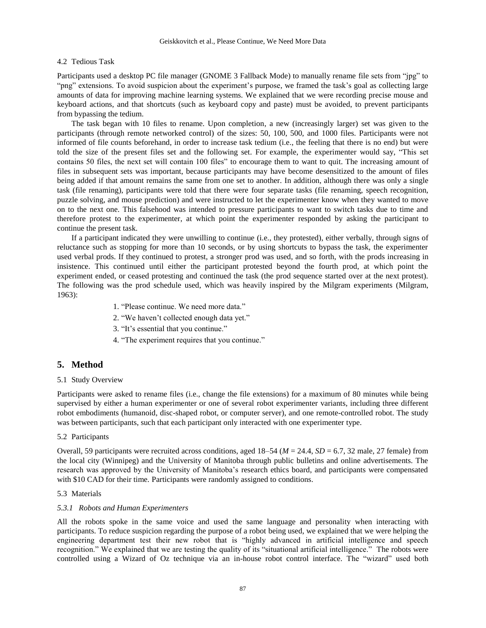# 4.2 Tedious Task

Participants used a desktop PC file manager (GNOME 3 Fallback Mode) to manually rename file sets from "jpg" to "png" extensions. To avoid suspicion about the experiment's purpose, we framed the task's goal as collecting large amounts of data for improving machine learning systems. We explained that we were recording precise mouse and keyboard actions, and that shortcuts (such as keyboard copy and paste) must be avoided, to prevent participants from bypassing the tedium.

The task began with 10 files to rename. Upon completion, a new (increasingly larger) set was given to the participants (through remote networked control) of the sizes: 50, 100, 500, and 1000 files. Participants were not informed of file counts beforehand, in order to increase task tedium (i.e., the feeling that there is no end) but were told the size of the present files set and the following set. For example, the experimenter would say, "This set contains 50 files, the next set will contain 100 files" to encourage them to want to quit. The increasing amount of files in subsequent sets was important, because participants may have become desensitized to the amount of files being added if that amount remains the same from one set to another. In addition, although there was only a single task (file renaming), participants were told that there were four separate tasks (file renaming, speech recognition, puzzle solving, and mouse prediction) and were instructed to let the experimenter know when they wanted to move on to the next one. This falsehood was intended to pressure participants to want to switch tasks due to time and therefore protest to the experimenter, at which point the experimenter responded by asking the participant to continue the present task.

If a participant indicated they were unwilling to continue (i.e., they protested), either verbally, through signs of reluctance such as stopping for more than 10 seconds, or by using shortcuts to bypass the task, the experimenter used verbal prods. If they continued to protest, a stronger prod was used, and so forth, with the prods increasing in insistence. This continued until either the participant protested beyond the fourth prod, at which point the experiment ended, or ceased protesting and continued the task (the prod sequence started over at the next protest). The following was the prod schedule used, which was heavily inspired by the Milgram experiments (Milgram, 1963):

- 1. "Please continue. We need more data."
- 2. "We haven't collected enough data yet."
- 3. "It's essential that you continue."
- 4. "The experiment requires that you continue."

## **5. Method**

### 5.1 Study Overview

Participants were asked to rename files (i.e., change the file extensions) for a maximum of 80 minutes while being supervised by either a human experimenter or one of several robot experimenter variants, including three different robot embodiments (humanoid, disc-shaped robot, or computer server), and one remote-controlled robot. The study was between participants, such that each participant only interacted with one experimenter type.

#### 5.2 Participants

Overall, 59 participants were recruited across conditions, aged 18–54 (*M* = 24.4, *SD* = 6.7, 32 male, 27 female) from the local city (Winnipeg) and the University of Manitoba through public bulletins and online advertisements. The research was approved by the University of Manitoba's research ethics board, and participants were compensated with \$10 CAD for their time. Participants were randomly assigned to conditions.

#### 5.3 Materials

#### *5.3.1 Robots and Human Experimenters*

All the robots spoke in the same voice and used the same language and personality when interacting with participants. To reduce suspicion regarding the purpose of a robot being used, we explained that we were helping the engineering department test their new robot that is "highly advanced in artificial intelligence and speech recognition." We explained that we are testing the quality of its "situational artificial intelligence." The robots were controlled using a Wizard of Oz technique via an in-house robot control interface. The "wizard" used both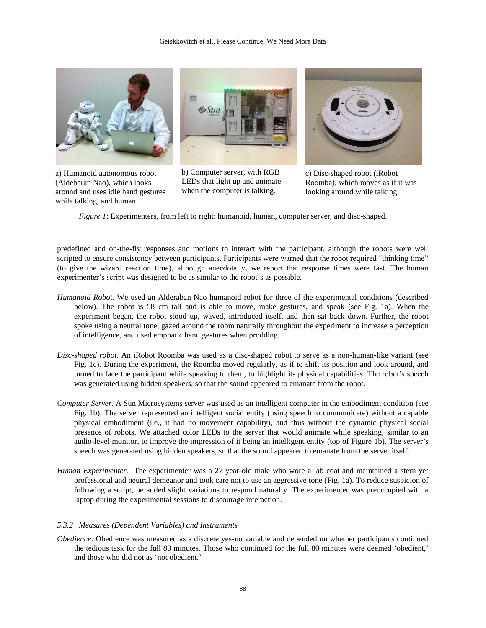

a) Humanoid autonomous robot (Aldebaran Nao), which looks around and uses idle hand gestures while talking, and human

b) Computer server, with RGB LEDs that light up and animate when the computer is talking.

c) Disc-shaped robot (iRobot Roomba), which moves as if it was looking around while talking.

*Figure 1*: Experimenters, from left to right: humanoid, human, computer server, and disc-shaped.

predefined and on-the-fly responses and motions to interact with the participant, although the robots were well scripted to ensure consistency between participants. Participants were warned that the robot required "thinking time" (to give the wizard reaction time), although anecdotally, we report that response times were fast. The human experimenter's script was designed to be as similar to the robot's as possible.

- *Humanoid Robot.* We used an Alderaban Nao humanoid robot for three of the experimental conditions (described below). The robot is 58 cm tall and is able to move, make gestures, and speak (see Fig. 1a). When the experiment began, the robot stood up, waved, introduced itself, and then sat back down. Further, the robot spoke using a neutral tone, gazed around the room naturally throughout the experiment to increase a perception of intelligence, and used emphatic hand gestures when prodding.
- *Disc-shaped robot.* An iRobot Roomba was used as a disc-shaped robot to serve as a non-human-like variant (see Fig. 1c). During the experiment, the Roomba moved regularly, as if to shift its position and look around, and turned to face the participant while speaking to them, to highlight its physical capabilities. The robot's speech was generated using hidden speakers, so that the sound appeared to emanate from the robot.
- *Computer Server.* A Sun Microsystems server was used as an intelligent computer in the embodiment condition (see Fig. 1b). The server represented an intelligent social entity (using speech to communicate) without a capable physical embodiment (i.e., it had no movement capability), and thus without the dynamic physical social presence of robots. We attached color LEDs to the server that would animate while speaking, similar to an audio-level monitor, to improve the impression of it being an intelligent entity (top of Figure 1b). The server's speech was generated using hidden speakers, so that the sound appeared to emanate from the server itself.
- *Human Experimenter.* The experimenter was a 27 year-old male who wore a lab coat and maintained a stern yet professional and neutral demeanor and took care not to use an aggressive tone (Fig. 1a). To reduce suspicion of following a script, he added slight variations to respond naturally. The experimenter was preoccupied with a laptop during the experimental sessions to discourage interaction.

#### *5.3.2 Measures (Dependent Variables) and Instruments*

*Obedience*. Obedience was measured as a discrete yes-no variable and depended on whether participants continued the tedious task for the full 80 minutes. Those who continued for the full 80 minutes were deemed 'obedient,' and those who did not as 'not obedient.'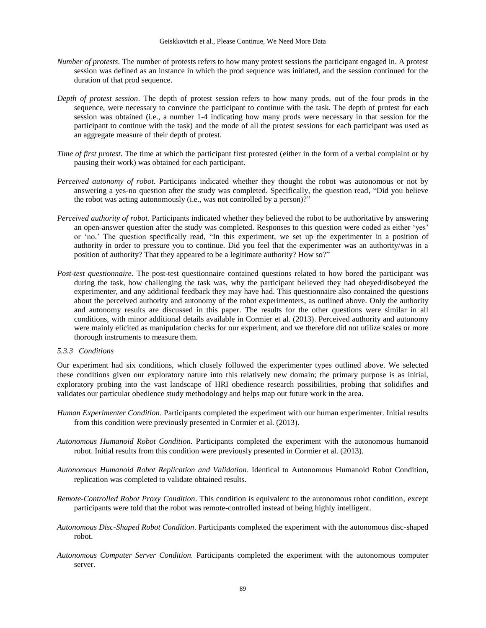- *Number of protests*. The number of protests refers to how many protest sessions the participant engaged in. A protest session was defined as an instance in which the prod sequence was initiated, and the session continued for the duration of that prod sequence.
- *Depth of protest session*. The depth of protest session refers to how many prods, out of the four prods in the sequence, were necessary to convince the participant to continue with the task. The depth of protest for each session was obtained (i.e., a number 1-4 indicating how many prods were necessary in that session for the participant to continue with the task) and the mode of all the protest sessions for each participant was used as an aggregate measure of their depth of protest.
- *Time of first protest*. The time at which the participant first protested (either in the form of a verbal complaint or by pausing their work) was obtained for each participant.
- *Perceived autonomy of robot*. Participants indicated whether they thought the robot was autonomous or not by answering a yes-no question after the study was completed. Specifically, the question read, "Did you believe the robot was acting autonomously (i.e., was not controlled by a person)?"
- *Perceived authority of robot.* Participants indicated whether they believed the robot to be authoritative by answering an open-answer question after the study was completed. Responses to this question were coded as either 'yes' or 'no.' The question specifically read, "In this experiment, we set up the experimenter in a position of authority in order to pressure you to continue. Did you feel that the experimenter was an authority/was in a position of authority? That they appeared to be a legitimate authority? How so?"
- *Post-test questionnaire*. The post-test questionnaire contained questions related to how bored the participant was during the task, how challenging the task was, why the participant believed they had obeyed/disobeyed the experimenter, and any additional feedback they may have had. This questionnaire also contained the questions about the perceived authority and autonomy of the robot experimenters, as outlined above. Only the authority and autonomy results are discussed in this paper. The results for the other questions were similar in all conditions, with minor additional details available in Cormier et al. (2013). Perceived authority and autonomy were mainly elicited as manipulation checks for our experiment, and we therefore did not utilize scales or more thorough instruments to measure them.

### *5.3.3 Conditions*

Our experiment had six conditions, which closely followed the experimenter types outlined above. We selected these conditions given our exploratory nature into this relatively new domain; the primary purpose is as initial, exploratory probing into the vast landscape of HRI obedience research possibilities, probing that solidifies and validates our particular obedience study methodology and helps map out future work in the area.

- *Human Experimenter Condition*. Participants completed the experiment with our human experimenter. Initial results from this condition were previously presented in Cormier et al. (2013).
- *Autonomous Humanoid Robot Condition.* Participants completed the experiment with the autonomous humanoid robot. Initial results from this condition were previously presented in Cormier et al. (2013).
- *Autonomous Humanoid Robot Replication and Validation.* Identical to Autonomous Humanoid Robot Condition, replication was completed to validate obtained results.
- *Remote-Controlled Robot Proxy Condition*. This condition is equivalent to the autonomous robot condition, except participants were told that the robot was remote-controlled instead of being highly intelligent.
- *Autonomous Disc-Shaped Robot Condition*. Participants completed the experiment with the autonomous disc-shaped robot.
- *Autonomous Computer Server Condition.* Participants completed the experiment with the autonomous computer server.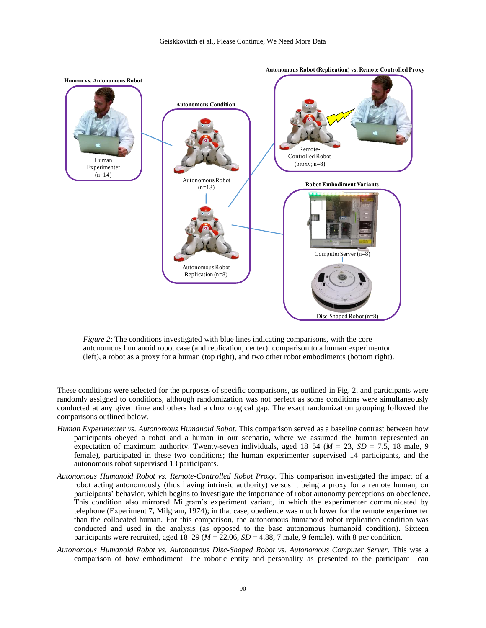

*Figure 2*: The conditions investigated with blue lines indicating comparisons, with the core autonomous humanoid robot case (and replication, center): comparison to a human experimentor (left), a robot as a proxy for a human (top right), and two other robot embodiments (bottom right).

These conditions were selected for the purposes of specific comparisons, as outlined in Fig. 2, and participants were randomly assigned to conditions, although randomization was not perfect as some conditions were simultaneously conducted at any given time and others had a chronological gap. The exact randomization grouping followed the comparisons outlined below.

- *Human Experimenter vs. Autonomous Humanoid Robot*. This comparison served as a baseline contrast between how participants obeyed a robot and a human in our scenario, where we assumed the human represented an expectation of maximum authority. Twenty-seven individuals, aged  $18-54$  ( $M = 23$ ,  $SD = 7.5$ , 18 male, 9 female), participated in these two conditions; the human experimenter supervised 14 participants, and the autonomous robot supervised 13 participants.
- *Autonomous Humanoid Robot vs. Remote-Controlled Robot Proxy*. This comparison investigated the impact of a robot acting autonomously (thus having intrinsic authority) versus it being a proxy for a remote human, on participants' behavior, which begins to investigate the importance of robot autonomy perceptions on obedience. This condition also mirrored Milgram's experiment variant, in which the experimenter communicated by telephone (Experiment 7, Milgram, 1974); in that case, obedience was much lower for the remote experimenter than the collocated human. For this comparison, the autonomous humanoid robot replication condition was conducted and used in the analysis (as opposed to the base autonomous humanoid condition). Sixteen participants were recruited, aged  $18-29$  ( $M = 22.06$ ,  $SD = 4.88$ , 7 male, 9 female), with 8 per condition.
- *Autonomous Humanoid Robot vs. Autonomous Disc-Shaped Robot vs. Autonomous Computer Server*. This was a comparison of how embodiment—the robotic entity and personality as presented to the participant—can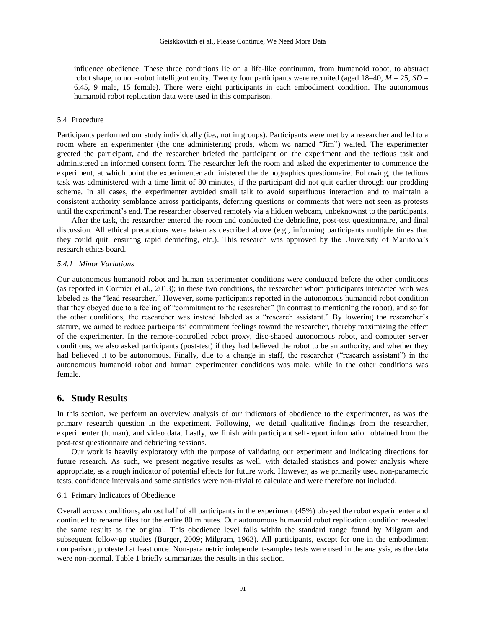influence obedience. These three conditions lie on a life-like continuum, from humanoid robot, to abstract robot shape, to non-robot intelligent entity. Twenty four participants were recruited (aged  $18-40$ ,  $M = 25$ ,  $SD =$ 6.45, 9 male, 15 female). There were eight participants in each embodiment condition. The autonomous humanoid robot replication data were used in this comparison.

#### 5.4 Procedure

Participants performed our study individually (i.e., not in groups). Participants were met by a researcher and led to a room where an experimenter (the one administering prods, whom we named "Jim") waited. The experimenter greeted the participant, and the researcher briefed the participant on the experiment and the tedious task and administered an informed consent form. The researcher left the room and asked the experimenter to commence the experiment, at which point the experimenter administered the demographics questionnaire. Following, the tedious task was administered with a time limit of 80 minutes, if the participant did not quit earlier through our prodding scheme. In all cases, the experimenter avoided small talk to avoid superfluous interaction and to maintain a consistent authority semblance across participants, deferring questions or comments that were not seen as protests until the experiment's end. The researcher observed remotely via a hidden webcam, unbeknownst to the participants.

After the task, the researcher entered the room and conducted the debriefing, post-test questionnaire, and final discussion. All ethical precautions were taken as described above (e.g., informing participants multiple times that they could quit, ensuring rapid debriefing, etc.). This research was approved by the University of Manitoba's research ethics board.

## *5.4.1 Minor Variations*

Our autonomous humanoid robot and human experimenter conditions were conducted before the other conditions (as reported in Cormier et al., 2013); in these two conditions, the researcher whom participants interacted with was labeled as the "lead researcher." However, some participants reported in the autonomous humanoid robot condition that they obeyed due to a feeling of "commitment to the researcher" (in contrast to mentioning the robot), and so for the other conditions, the researcher was instead labeled as a "research assistant." By lowering the researcher's stature, we aimed to reduce participants' commitment feelings toward the researcher, thereby maximizing the effect of the experimenter. In the remote-controlled robot proxy, disc-shaped autonomous robot, and computer server conditions, we also asked participants (post-test) if they had believed the robot to be an authority, and whether they had believed it to be autonomous. Finally, due to a change in staff, the researcher ("research assistant") in the autonomous humanoid robot and human experimenter conditions was male, while in the other conditions was female.

## **6. Study Results**

In this section, we perform an overview analysis of our indicators of obedience to the experimenter, as was the primary research question in the experiment. Following, we detail qualitative findings from the researcher, experimenter (human), and video data. Lastly, we finish with participant self-report information obtained from the post-test questionnaire and debriefing sessions.

Our work is heavily exploratory with the purpose of validating our experiment and indicating directions for future research. As such, we present negative results as well, with detailed statistics and power analysis where appropriate, as a rough indicator of potential effects for future work. However, as we primarily used non-parametric tests, confidence intervals and some statistics were non-trivial to calculate and were therefore not included.

#### 6.1 Primary Indicators of Obedience

Overall across conditions, almost half of all participants in the experiment (45%) obeyed the robot experimenter and continued to rename files for the entire 80 minutes. Our autonomous humanoid robot replication condition revealed the same results as the original. This obedience level falls within the standard range found by Milgram and subsequent follow-up studies (Burger, 2009; Milgram, 1963). All participants, except for one in the embodiment comparison, protested at least once. Non-parametric independent-samples tests were used in the analysis, as the data were non-normal. [Table 1](#page-10-0) briefly summarizes the results in this section.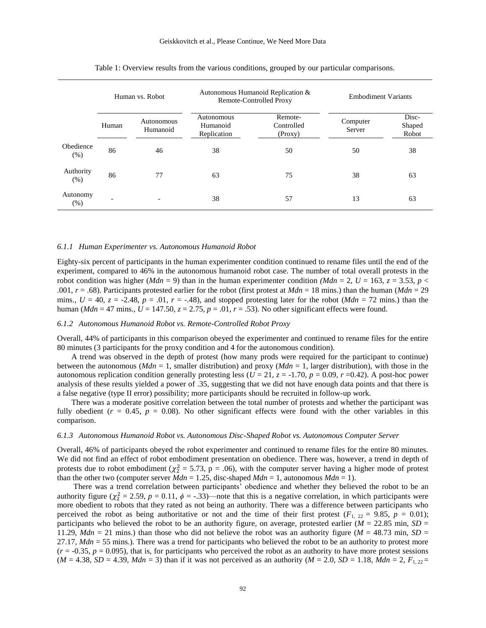<span id="page-10-0"></span>

|                   | Human vs. Robot          |                        | Autonomous Humanoid Replication &<br>Remote-Controlled Proxy |                                  | <b>Embodiment Variants</b> |                          |
|-------------------|--------------------------|------------------------|--------------------------------------------------------------|----------------------------------|----------------------------|--------------------------|
|                   | Human                    | Autonomous<br>Humanoid | Autonomous<br>Humanoid<br>Replication                        | Remote-<br>Controlled<br>(Proxy) | Computer<br>Server         | Disc-<br>Shaped<br>Robot |
| Obedience<br>(% ) | 86                       | 46                     | 38                                                           | 50                               | 50                         | 38                       |
| Authority<br>(% ) | 86                       | 77                     | 63                                                           | 75                               | 38                         | 63                       |
| Autonomy<br>(% )  | $\overline{\phantom{0}}$ |                        | 38                                                           | 57                               | 13                         | 63                       |

Table 1: Overview results from the various conditions, grouped by our particular comparisons.

#### *6.1.1 Human Experimenter vs. Autonomous Humanoid Robot*

Eighty-six percent of participants in the human experimenter condition continued to rename files until the end of the experiment, compared to 46% in the autonomous humanoid robot case. The number of total overall protests in the robot condition was higher (*Mdn* = 9) than in the human experimenter condition (*Mdn* = 2,  $U = 163$ ,  $z = 3.53$ ,  $p <$ .001, *r* = .68). Participants protested earlier for the robot (first protest at *Mdn* = 18 mins.) than the human (*Mdn* = 29 mins.,  $U = 40$ ,  $z = -2.48$ ,  $p = .01$ ,  $r = -.48$ ), and stopped protesting later for the robot (*Mdn* = 72 mins.) than the human (*Mdn* = 47 mins.,  $U = 147.50$ ,  $z = 2.75$ ,  $p = .01$ ,  $r = .53$ ). No other significant effects were found.

#### *6.1.2 Autonomous Humanoid Robot vs. Remote-Controlled Robot Proxy*

Overall, 44% of participants in this comparison obeyed the experimenter and continued to rename files for the entire 80 minutes (3 participants for the proxy condition and 4 for the autonomous condition).

A trend was observed in the depth of protest (how many prods were required for the participant to continue) between the autonomous (*Mdn* = 1, smaller distribution) and proxy (*Mdn* = 1, larger distribution), with those in the autonomous replication condition generally protesting less ( $U = 21$ ,  $z = -1.70$ ,  $p = 0.09$ ,  $r = 0.42$ ). A post-hoc power analysis of these results yielded a power of .35, suggesting that we did not have enough data points and that there is a false negative (type II error) possibility; more participants should be recruited in follow-up work.

There was a moderate positive correlation between the total number of protests and whether the participant was fully obedient  $(r = 0.45, p = 0.08)$ . No other significant effects were found with the other variables in this comparison.

## *6.1.3 Autonomous Humanoid Robot vs. Autonomous Disc-Shaped Robot vs. Autonomous Computer Server*

Overall, 46% of participants obeyed the robot experimenter and continued to rename files for the entire 80 minutes. We did not find an effect of robot embodiment presentation on obedience. There was, however, a trend in depth of protests due to robot embodiment ( $\chi^2$  = 5.73, p = .06), with the computer server having a higher mode of protest than the other two (computer server  $Mdn = 1.25$ , disc-shaped  $Mdn = 1$ , autonomous  $Mdn = 1$ ).

There was a trend correlation between participants' obedience and whether they believed the robot to be an authority figure ( $\chi^2$  = 2.59, *p* = 0.11,  $\phi$  = -.33)—note that this is a negative correlation, in which participants were more obedient to robots that they rated as not being an authority. There was a difference between participants who perceived the robot as being authoritative or not and the time of their first protest  $(F_{1, 22} = 9.85, p = 0.01)$ ; participants who believed the robot to be an authority figure, on average, protested earlier ( $M = 22.85$  min,  $SD =$ 11.29,  $Mdn = 21$  mins.) than those who did not believe the robot was an authority figure ( $M = 48.73$  min,  $SD =$ 27.17, *Mdn* = 55 mins.). There was a trend for participants who believed the robot to be an authority to protest more  $(r = -0.35, p = 0.095)$ , that is, for participants who perceived the robot as an authority to have more protest sessions  $(M = 4.38, SD = 4.39, Mdn = 3)$  than if it was not perceived as an authority  $(M = 2.0, SD = 1.18, Mdn = 2, F_{1,22}$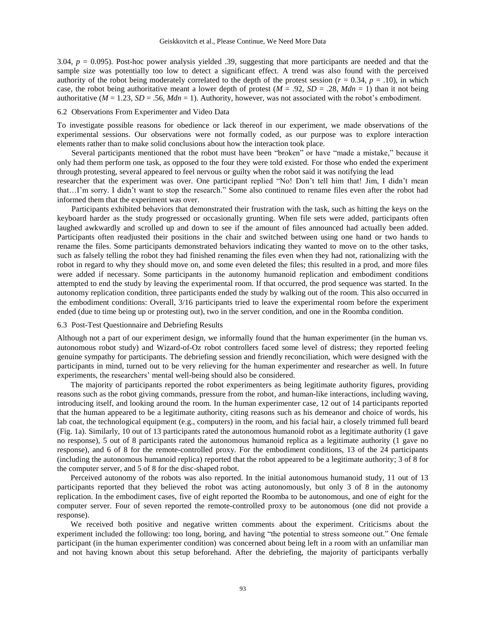3.04, *p* = 0.095). Post-hoc power analysis yielded .39, suggesting that more participants are needed and that the sample size was potentially too low to detect a significant effect. A trend was also found with the perceived authority of the robot being moderately correlated to the depth of the protest session ( $r = 0.34$ ,  $p = .10$ ), in which case, the robot being authoritative meant a lower depth of protest  $(M = .92, SD = .28, Mdn = 1)$  than it not being authoritative ( $M = 1.23$ ,  $SD = .56$ ,  $Mdn = 1$ ). Authority, however, was not associated with the robot's embodiment.

#### 6.2 Observations From Experimenter and Video Data

To investigate possible reasons for obedience or lack thereof in our experiment, we made observations of the experimental sessions. Our observations were not formally coded, as our purpose was to explore interaction elements rather than to make solid conclusions about how the interaction took place.

Several participants mentioned that the robot must have been "broken" or have "made a mistake," because it only had them perform one task, as opposed to the four they were told existed. For those who ended the experiment through protesting, several appeared to feel nervous or guilty when the robot said it was notifying the lead

researcher that the experiment was over. One participant replied "No! Don't tell him that! Jim, I didn't mean that…I'm sorry. I didn't want to stop the research." Some also continued to rename files even after the robot had informed them that the experiment was over.

Participants exhibited behaviors that demonstrated their frustration with the task, such as hitting the keys on the keyboard harder as the study progressed or occasionally grunting. When file sets were added, participants often laughed awkwardly and scrolled up and down to see if the amount of files announced had actually been added. Participants often readjusted their positions in the chair and switched between using one hand or two hands to rename the files. Some participants demonstrated behaviors indicating they wanted to move on to the other tasks, such as falsely telling the robot they had finished renaming the files even when they had not, rationalizing with the robot in regard to why they should move on, and some even deleted the files; this resulted in a prod, and more files were added if necessary. Some participants in the autonomy humanoid replication and embodiment conditions attempted to end the study by leaving the experimental room. If that occurred, the prod sequence was started. In the autonomy replication condition, three participants ended the study by walking out of the room. This also occurred in the embodiment conditions: Overall, 3/16 participants tried to leave the experimental room before the experiment ended (due to time being up or protesting out), two in the server condition, and one in the Roomba condition.

#### 6.3 Post-Test Questionnaire and Debriefing Results

Although not a part of our experiment design, we informally found that the human experimenter (in the human vs. autonomous robot study) and Wizard-of-Oz robot controllers faced some level of distress; they reported feeling genuine sympathy for participants. The debriefing session and friendly reconciliation, which were designed with the participants in mind, turned out to be very relieving for the human experimenter and researcher as well. In future experiments, the researchers' mental well-being should also be considered.

The majority of participants reported the robot experimenters as being legitimate authority figures, providing reasons such as the robot giving commands, pressure from the robot, and human-like interactions, including waving, introducing itself, and looking around the room. In the human experimenter case, 12 out of 14 participants reported that the human appeared to be a legitimate authority, citing reasons such as his demeanor and choice of words, his lab coat, the technological equipment (e.g., computers) in the room, and his facial hair, a closely trimmed full beard (Fig. 1a). Similarly, 10 out of 13 participants rated the autonomous humanoid robot as a legitimate authority (1 gave no response), 5 out of 8 participants rated the autonomous humanoid replica as a legitimate authority (1 gave no response), and 6 of 8 for the remote-controlled proxy. For the embodiment conditions, 13 of the 24 participants (including the autonomous humanoid replica) reported that the robot appeared to be a legitimate authority; 3 of 8 for the computer server, and 5 of 8 for the disc-shaped robot.

Perceived autonomy of the robots was also reported. In the initial autonomous humanoid study, 11 out of 13 participants reported that they believed the robot was acting autonomously, but only 3 of 8 in the autonomy replication. In the embodiment cases, five of eight reported the Roomba to be autonomous, and one of eight for the computer server. Four of seven reported the remote-controlled proxy to be autonomous (one did not provide a response).

We received both positive and negative written comments about the experiment. Criticisms about the experiment included the following: too long, boring, and having "the potential to stress someone out." One female participant (in the human experimenter condition) was concerned about being left in a room with an unfamiliar man and not having known about this setup beforehand. After the debriefing, the majority of participants verbally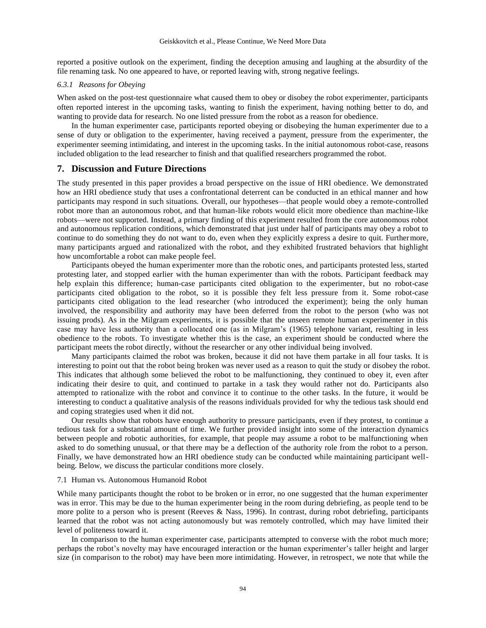reported a positive outlook on the experiment, finding the deception amusing and laughing at the absurdity of the file renaming task. No one appeared to have, or reported leaving with, strong negative feelings.

## *6.3.1 Reasons for Obeying*

When asked on the post-test questionnaire what caused them to obey or disobey the robot experimenter, participants often reported interest in the upcoming tasks, wanting to finish the experiment, having nothing better to do, and wanting to provide data for research. No one listed pressure from the robot as a reason for obedience.

In the human experimenter case, participants reported obeying or disobeying the human experimenter due to a sense of duty or obligation to the experimenter, having received a payment, pressure from the experimenter, the experimenter seeming intimidating, and interest in the upcoming tasks. In the initial autonomous robot-case, reasons included obligation to the lead researcher to finish and that qualified researchers programmed the robot.

## **7. Discussion and Future Directions**

The study presented in this paper provides a broad perspective on the issue of HRI obedience. We demonstrated how an HRI obedience study that uses a confrontational deterrent can be conducted in an ethical manner and how participants may respond in such situations. Overall, our hypotheses—that people would obey a remote-controlled robot more than an autonomous robot, and that human-like robots would elicit more obedience than machine-like robots—were not supported. Instead, a primary finding of this experiment resulted from the core autonomous robot and autonomous replication conditions, which demonstrated that just under half of participants may obey a robot to continue to do something they do not want to do, even when they explicitly express a desire to quit. Furthermore, many participants argued and rationalized with the robot, and they exhibited frustrated behaviors that highlight how uncomfortable a robot can make people feel.

Participants obeyed the human experimenter more than the robotic ones, and participants protested less, started protesting later, and stopped earlier with the human experimenter than with the robots. Participant feedback may help explain this difference; human-case participants cited obligation to the experimenter, but no robot-case participants cited obligation to the robot, so it is possible they felt less pressure from it. Some robot-case participants cited obligation to the lead researcher (who introduced the experiment); being the only human involved, the responsibility and authority may have been deferred from the robot to the person (who was not issuing prods). As in the Milgram experiments, it is possible that the unseen remote human experimenter in this case may have less authority than a collocated one (as in Milgram's (1965) telephone variant, resulting in less obedience to the robots. To investigate whether this is the case, an experiment should be conducted where the participant meets the robot directly, without the researcher or any other individual being involved.

Many participants claimed the robot was broken, because it did not have them partake in all four tasks. It is interesting to point out that the robot being broken was never used as a reason to quit the study or disobey the robot. This indicates that although some believed the robot to be malfunctioning, they continued to obey it, even after indicating their desire to quit, and continued to partake in a task they would rather not do. Participants also attempted to rationalize with the robot and convince it to continue to the other tasks. In the future, it would be interesting to conduct a qualitative analysis of the reasons individuals provided for why the tedious task should end and coping strategies used when it did not.

Our results show that robots have enough authority to pressure participants, even if they protest, to continue a tedious task for a substantial amount of time. We further provided insight into some of the interaction dynamics between people and robotic authorities, for example, that people may assume a robot to be malfunctioning when asked to do something unusual, or that there may be a deflection of the authority role from the robot to a person. Finally, we have demonstrated how an HRI obedience study can be conducted while maintaining participant wellbeing. Below, we discuss the particular conditions more closely.

## 7.1 Human vs. Autonomous Humanoid Robot

While many participants thought the robot to be broken or in error, no one suggested that the human experimenter was in error. This may be due to the human experimenter being in the room during debriefing, as people tend to be more polite to a person who is present (Reeves & Nass, 1996). In contrast, during robot debriefing, participants learned that the robot was not acting autonomously but was remotely controlled, which may have limited their level of politeness toward it.

In comparison to the human experimenter case, participants attempted to converse with the robot much more; perhaps the robot's novelty may have encouraged interaction or the human experimenter's taller height and larger size (in comparison to the robot) may have been more intimidating. However, in retrospect, we note that while the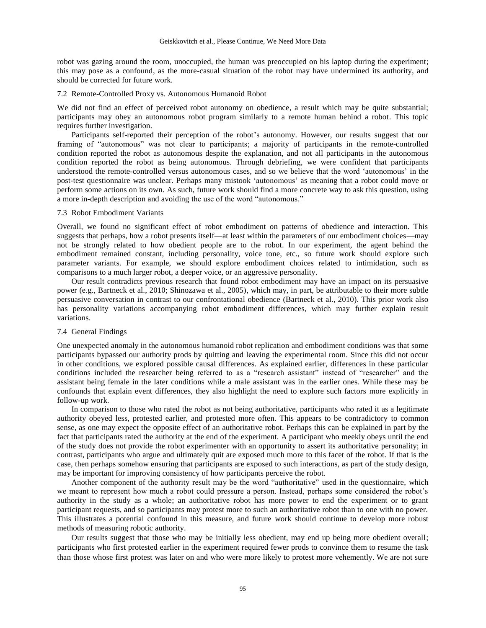robot was gazing around the room, unoccupied, the human was preoccupied on his laptop during the experiment; this may pose as a confound, as the more-casual situation of the robot may have undermined its authority, and should be corrected for future work.

#### 7.2 Remote-Controlled Proxy vs. Autonomous Humanoid Robot

We did not find an effect of perceived robot autonomy on obedience, a result which may be quite substantial; participants may obey an autonomous robot program similarly to a remote human behind a robot. This topic requires further investigation.

Participants self-reported their perception of the robot's autonomy. However, our results suggest that our framing of "autonomous" was not clear to participants; a majority of participants in the remote-controlled condition reported the robot as autonomous despite the explanation, and not all participants in the autonomous condition reported the robot as being autonomous. Through debriefing, we were confident that participants understood the remote-controlled versus autonomous cases, and so we believe that the word 'autonomous' in the post-test questionnaire was unclear. Perhaps many mistook 'autonomous' as meaning that a robot could move or perform some actions on its own. As such, future work should find a more concrete way to ask this question, using a more in-depth description and avoiding the use of the word "autonomous."

#### 7.3 Robot Embodiment Variants

Overall, we found no significant effect of robot embodiment on patterns of obedience and interaction. This suggests that perhaps, how a robot presents itself—at least within the parameters of our embodiment choices—may not be strongly related to how obedient people are to the robot. In our experiment, the agent behind the embodiment remained constant, including personality, voice tone, etc., so future work should explore such parameter variants. For example, we should explore embodiment choices related to intimidation, such as comparisons to a much larger robot, a deeper voice, or an aggressive personality.

Our result contradicts previous research that found robot embodiment may have an impact on its persuasive power (e.g., Bartneck et al., 2010; Shinozawa et al., 2005), which may, in part, be attributable to their more subtle persuasive conversation in contrast to our confrontational obedience (Bartneck et al., 2010). This prior work also has personality variations accompanying robot embodiment differences, which may further explain result variations.

## 7.4 General Findings

One unexpected anomaly in the autonomous humanoid robot replication and embodiment conditions was that some participants bypassed our authority prods by quitting and leaving the experimental room. Since this did not occur in other conditions, we explored possible causal differences. As explained earlier, differences in these particular conditions included the researcher being referred to as a "research assistant" instead of "researcher" and the assistant being female in the later conditions while a male assistant was in the earlier ones. While these may be confounds that explain event differences, they also highlight the need to explore such factors more explicitly in follow-up work.

In comparison to those who rated the robot as not being authoritative, participants who rated it as a legitimate authority obeyed less, protested earlier, and protested more often. This appears to be contradictory to common sense, as one may expect the opposite effect of an authoritative robot. Perhaps this can be explained in part by the fact that participants rated the authority at the end of the experiment. A participant who meekly obeys until the end of the study does not provide the robot experimenter with an opportunity to assert its authoritative personality; in contrast, participants who argue and ultimately quit are exposed much more to this facet of the robot. If that is the case, then perhaps somehow ensuring that participants are exposed to such interactions, as part of the study design, may be important for improving consistency of how participants perceive the robot.

Another component of the authority result may be the word "authoritative" used in the questionnaire, which we meant to represent how much a robot could pressure a person. Instead, perhaps some considered the robot's authority in the study as a whole; an authoritative robot has more power to end the experiment or to grant participant requests, and so participants may protest more to such an authoritative robot than to one with no power. This illustrates a potential confound in this measure, and future work should continue to develop more robust methods of measuring robotic authority.

Our results suggest that those who may be initially less obedient, may end up being more obedient overall; participants who first protested earlier in the experiment required fewer prods to convince them to resume the task than those whose first protest was later on and who were more likely to protest more vehemently. We are not sure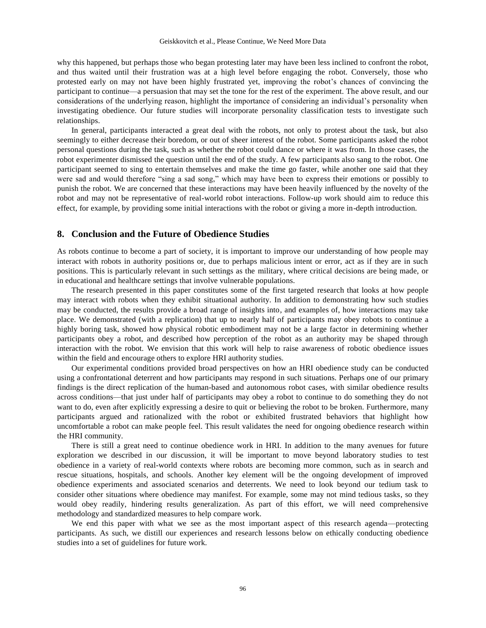why this happened, but perhaps those who began protesting later may have been less inclined to confront the robot, and thus waited until their frustration was at a high level before engaging the robot. Conversely, those who protested early on may not have been highly frustrated yet, improving the robot's chances of convincing the participant to continue—a persuasion that may set the tone for the rest of the experiment. The above result, and our considerations of the underlying reason, highlight the importance of considering an individual's personality when investigating obedience. Our future studies will incorporate personality classification tests to investigate such relationships.

In general, participants interacted a great deal with the robots, not only to protest about the task, but also seemingly to either decrease their boredom, or out of sheer interest of the robot. Some participants asked the robot personal questions during the task, such as whether the robot could dance or where it was from. In those cases, the robot experimenter dismissed the question until the end of the study. A few participants also sang to the robot. One participant seemed to sing to entertain themselves and make the time go faster, while another one said that they were sad and would therefore "sing a sad song," which may have been to express their emotions or possibly to punish the robot. We are concerned that these interactions may have been heavily influenced by the novelty of the robot and may not be representative of real-world robot interactions. Follow-up work should aim to reduce this effect, for example, by providing some initial interactions with the robot or giving a more in-depth introduction.

## **8. Conclusion and the Future of Obedience Studies**

As robots continue to become a part of society, it is important to improve our understanding of how people may interact with robots in authority positions or, due to perhaps malicious intent or error, act as if they are in such positions. This is particularly relevant in such settings as the military, where critical decisions are being made, or in educational and healthcare settings that involve vulnerable populations.

The research presented in this paper constitutes some of the first targeted research that looks at how people may interact with robots when they exhibit situational authority. In addition to demonstrating how such studies may be conducted, the results provide a broad range of insights into, and examples of, how interactions may take place. We demonstrated (with a replication) that up to nearly half of participants may obey robots to continue a highly boring task, showed how physical robotic embodiment may not be a large factor in determining whether participants obey a robot, and described how perception of the robot as an authority may be shaped through interaction with the robot. We envision that this work will help to raise awareness of robotic obedience issues within the field and encourage others to explore HRI authority studies.

Our experimental conditions provided broad perspectives on how an HRI obedience study can be conducted using a confrontational deterrent and how participants may respond in such situations. Perhaps one of our primary findings is the direct replication of the human-based and autonomous robot cases, with similar obedience results across conditions—that just under half of participants may obey a robot to continue to do something they do not want to do, even after explicitly expressing a desire to quit or believing the robot to be broken. Furthermore, many participants argued and rationalized with the robot or exhibited frustrated behaviors that highlight how uncomfortable a robot can make people feel. This result validates the need for ongoing obedience research within the HRI community.

There is still a great need to continue obedience work in HRI. In addition to the many avenues for future exploration we described in our discussion, it will be important to move beyond laboratory studies to test obedience in a variety of real-world contexts where robots are becoming more common, such as in search and rescue situations, hospitals, and schools. Another key element will be the ongoing development of improved obedience experiments and associated scenarios and deterrents. We need to look beyond our tedium task to consider other situations where obedience may manifest. For example, some may not mind tedious tasks, so they would obey readily, hindering results generalization. As part of this effort, we will need comprehensive methodology and standardized measures to help compare work.

We end this paper with what we see as the most important aspect of this research agenda—protecting participants. As such, we distill our experiences and research lessons below on ethically conducting obedience studies into a set of guidelines for future work.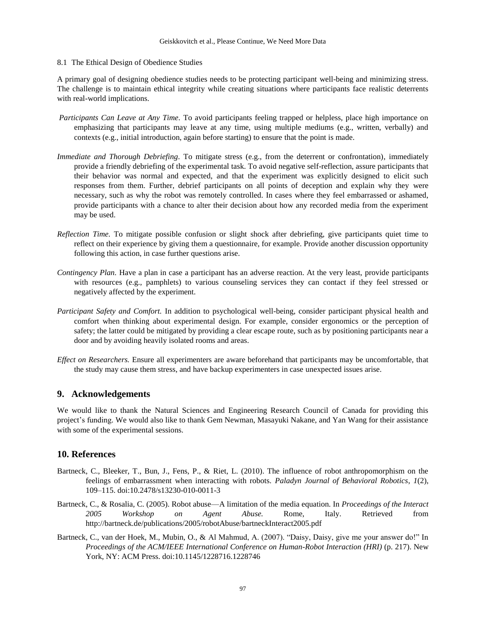8.1 The Ethical Design of Obedience Studies

A primary goal of designing obedience studies needs to be protecting participant well-being and minimizing stress. The challenge is to maintain ethical integrity while creating situations where participants face realistic deterrents with real-world implications.

- *Participants Can Leave at Any Time.* To avoid participants feeling trapped or helpless, place high importance on emphasizing that participants may leave at any time, using multiple mediums (e.g., written, verbally) and contexts (e.g., initial introduction, again before starting) to ensure that the point is made.
- *Immediate and Thorough Debriefing.* To mitigate stress (e.g., from the deterrent or confrontation), immediately provide a friendly debriefing of the experimental task. To avoid negative self-reflection, assure participants that their behavior was normal and expected, and that the experiment was explicitly designed to elicit such responses from them. Further, debrief participants on all points of deception and explain why they were necessary, such as why the robot was remotely controlled. In cases where they feel embarrassed or ashamed, provide participants with a chance to alter their decision about how any recorded media from the experiment may be used.
- *Reflection Time.* To mitigate possible confusion or slight shock after debriefing, give participants quiet time to reflect on their experience by giving them a questionnaire, for example. Provide another discussion opportunity following this action, in case further questions arise.
- *Contingency Plan.* Have a plan in case a participant has an adverse reaction. At the very least, provide participants with resources (e.g., pamphlets) to various counseling services they can contact if they feel stressed or negatively affected by the experiment.
- *Participant Safety and Comfort.* In addition to psychological well-being, consider participant physical health and comfort when thinking about experimental design. For example, consider ergonomics or the perception of safety; the latter could be mitigated by providing a clear escape route, such as by positioning participants near a door and by avoiding heavily isolated rooms and areas.
- *Effect on Researchers.* Ensure all experimenters are aware beforehand that participants may be uncomfortable, that the study may cause them stress, and have backup experimenters in case unexpected issues arise.

# **9. Acknowledgements**

We would like to thank the Natural Sciences and Engineering Research Council of Canada for providing this project's funding. We would also like to thank Gem Newman, Masayuki Nakane, and Yan Wang for their assistance with some of the experimental sessions.

# **10. References**

- Bartneck, C., Bleeker, T., Bun, J., Fens, P., & Riet, L. (2010). The influence of robot anthropomorphism on the feelings of embarrassment when interacting with robots. *Paladyn Journal of Behavioral Robotics*, *1*(2), 109–115. doi:10.2478/s13230-010-0011-3
- Bartneck, C., & Rosalia, C. (2005). Robot abuse—A limitation of the media equation. In *Proceedings of the Interact 2005 Workshop on Agent Abuse.* Rome, Italy. Retrieved from http://bartneck.de/publications/2005/robotAbuse/bartneckInteract2005.pdf
- Bartneck, C., van der Hoek, M., Mubin, O., & Al Mahmud, A. (2007). "Daisy, Daisy, give me your answer do!" In *Proceedings of the ACM/IEEE International Conference on Human-Robot Interaction (HRI)* (p. 217). New York, NY: ACM Press. doi:10.1145/1228716.1228746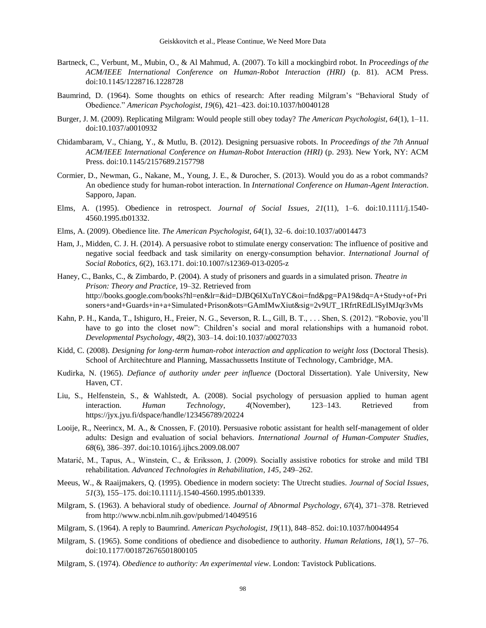- Bartneck, C., Verbunt, M., Mubin, O., & Al Mahmud, A. (2007). To kill a mockingbird robot. In *Proceedings of the ACM/IEEE International Conference on Human-Robot Interaction (HRI)* (p. 81). ACM Press. doi:10.1145/1228716.1228728
- Baumrind, D. (1964). Some thoughts on ethics of research: After reading Milgram's "Behavioral Study of Obedience." *American Psychologist*, *19*(6), 421–423. doi:10.1037/h0040128
- Burger, J. M. (2009). Replicating Milgram: Would people still obey today? *The American Psychologist*, *64*(1), 1–11. doi:10.1037/a0010932
- Chidambaram, V., Chiang, Y., & Mutlu, B. (2012). Designing persuasive robots. In *Proceedings of the 7th Annual ACM/IEEE International Conference on Human-Robot Interaction (HRI)* (p. 293). New York, NY: ACM Press. doi:10.1145/2157689.2157798
- Cormier, D., Newman, G., Nakane, M., Young, J. E., & Durocher, S. (2013). Would you do as a robot commands? An obedience study for human-robot interaction. In *International Conference on Human-Agent Interaction*. Sapporo, Japan.
- Elms, A. (1995). Obedience in retrospect. *Journal of Social Issues*, *21*(11), 1–6. doi:10.1111/j.1540- 4560.1995.tb01332.
- Elms, A. (2009). Obedience lite. *The American Psychologist*, *64*(1), 32–6. doi:10.1037/a0014473
- Ham, J., Midden, C. J. H. (2014). A persuasive robot to stimulate energy conservation: The influence of positive and negative social feedback and task similarity on energy-consumption behavior. *International Journal of Social Robotics*, *6*(2), 163.171. doi:10.1007/s12369-013-0205-z
- Haney, C., Banks, C., & Zimbardo, P. (2004). A study of prisoners and guards in a simulated prison. *Theatre in Prison: Theory and Practice*, 19–32. Retrieved from http://books.google.com/books?hl=en&lr=&id=DJBQ6IXuTnYC&oi=fnd&pg=PA19&dq=A+Study+of+Pri soners+and+Guards+in+a+Simulated+Prison&ots=GAmIMwXiut&sig=2v9UT\_1RfrtREdLlSyIMJqr3vMs
- Kahn, P. H., Kanda, T., Ishiguro, H., Freier, N. G., Severson, R. L., Gill, B. T., . . . Shen, S. (2012). "Robovie, you'll have to go into the closet now": Children's social and moral relationships with a humanoid robot. *Developmental Psychology*, *48*(2), 303–14. doi:10.1037/a0027033
- Kidd, C. (2008). *Designing for long-term human-robot interaction and application to weight loss* (Doctoral Thesis). School of Architechture and Planning, Massachussetts Institute of Technology, Cambridge, MA.
- Kudirka, N. (1965). *Defiance of authority under peer influence* (Doctoral Dissertation). Yale University, New Haven, CT.
- Liu, S., Helfenstein, S., & Wahlstedt, A. (2008). Social psychology of persuasion applied to human agent interaction. *Human Technology*, *4*(November), 123–143. Retrieved from https://jyx.jyu.fi/dspace/handle/123456789/20224
- Looije, R., Neerincx, M. A., & Cnossen, F. (2010). Persuasive robotic assistant for health self-management of older adults: Design and evaluation of social behaviors. *International Journal of Human-Computer Studies*, *68*(6), 386–397. doi:10.1016/j.ijhcs.2009.08.007
- Matarić, M., Tapus, A., Winstein, C., & Eriksson, J. (2009). Socially assistive robotics for stroke and mild TBI rehabilitation. *Advanced Technologies in Rehabilitation*, *145*, 249–262.
- Meeus, W., & Raaijmakers, Q. (1995). Obedience in modern society: The Utrecht studies. *Journal of Social Issues*, *51*(3), 155–175. doi:10.1111/j.1540-4560.1995.tb01339.
- Milgram, S. (1963). A behavioral study of obedience. *Journal of Abnormal Psychology*, *67*(4), 371–378. Retrieved from http://www.ncbi.nlm.nih.gov/pubmed/14049516
- Milgram, S. (1964). A reply to Baumrind. *American Psychologist*, *19*(11), 848–852. doi:10.1037/h0044954
- Milgram, S. (1965). Some conditions of obedience and disobedience to authority. *Human Relations*, *18*(1), 57–76. doi:10.1177/001872676501800105
- Milgram, S. (1974). *Obedience to authority: An experimental view*. London: Tavistock Publications.